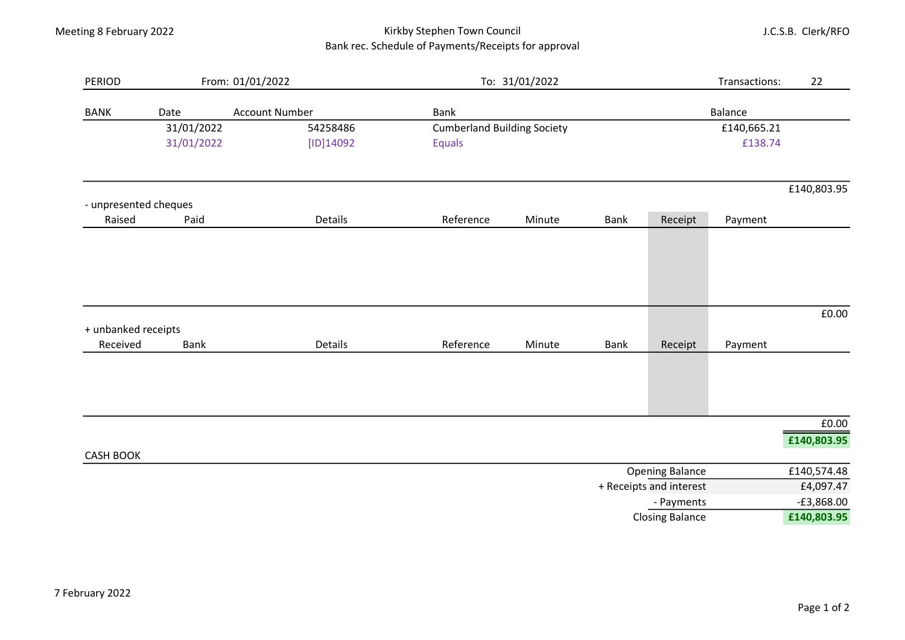## Meeting 8 February 2022 **Kirkby Stephen Town Council** Bank rec. Schedule of Payments/Receipts for approval

J.C.S.B. Clerk/RFO

| <b>PERIOD</b>         |                               | From: 01/01/2022 | To: 31/01/2022                     |        | Transactions: | 22                      |         |              |
|-----------------------|-------------------------------|------------------|------------------------------------|--------|---------------|-------------------------|---------|--------------|
| <b>BANK</b>           | <b>Account Number</b><br>Date |                  | <b>Bank</b>                        |        |               |                         | Balance |              |
|                       | 31/01/2022                    | 54258486         | <b>Cumberland Building Society</b> |        |               | £140,665.21             |         |              |
|                       | 31/01/2022                    | [ID]14092        | Equals                             |        |               |                         | £138.74 |              |
|                       |                               |                  |                                    |        |               |                         |         | £140,803.95  |
| - unpresented cheques |                               |                  |                                    |        |               |                         |         |              |
| Raised                | Paid                          | Details          | Reference                          | Minute | Bank          | Receipt                 | Payment |              |
|                       |                               |                  |                                    |        |               |                         |         |              |
| + unbanked receipts   |                               |                  |                                    |        |               |                         |         | £0.00        |
| Received              | <b>Bank</b>                   | Details          | Reference                          | Minute | <b>Bank</b>   | Receipt                 | Payment |              |
|                       |                               |                  |                                    |        |               |                         |         |              |
|                       |                               |                  |                                    |        |               |                         |         | £0.00        |
|                       |                               |                  |                                    |        |               |                         |         | £140,803.95  |
| <b>CASH BOOK</b>      |                               |                  |                                    |        |               | <b>Opening Balance</b>  |         | £140,574.48  |
|                       |                               |                  |                                    |        |               | + Receipts and interest |         | £4,097.47    |
|                       | - Payments                    |                  |                                    |        |               |                         |         | $-£3,868.00$ |
|                       | <b>Closing Balance</b>        |                  |                                    |        |               |                         |         | £140,803.95  |